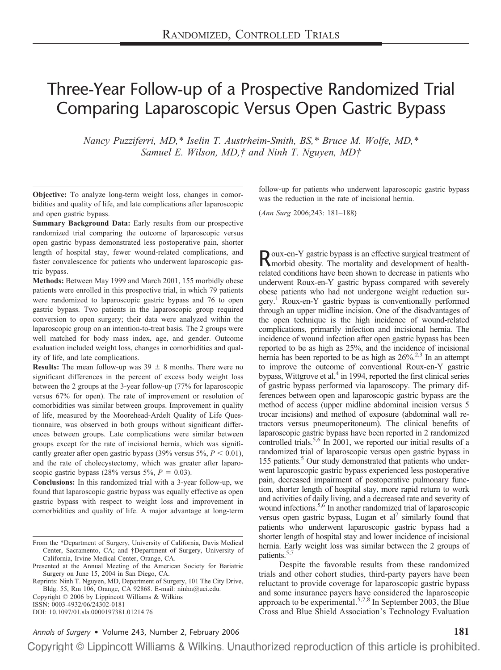# Three-Year Follow-up of a Prospective Randomized Trial Comparing Laparoscopic Versus Open Gastric Bypass

*Nancy Puzziferri, MD,\* Iselin T. Austrheim-Smith, BS,\* Bruce M. Wolfe, MD,\* Samuel E. Wilson, MD,† and Ninh T. Nguyen, MD†*

**Objective:** To analyze long-term weight loss, changes in comorbidities and quality of life, and late complications after laparoscopic and open gastric bypass.

**Summary Background Data:** Early results from our prospective randomized trial comparing the outcome of laparoscopic versus open gastric bypass demonstrated less postoperative pain, shorter length of hospital stay, fewer wound-related complications, and faster convalescence for patients who underwent laparoscopic gastric bypass.

**Methods:** Between May 1999 and March 2001, 155 morbidly obese patients were enrolled in this prospective trial, in which 79 patients were randomized to laparoscopic gastric bypass and 76 to open gastric bypass. Two patients in the laparoscopic group required conversion to open surgery; their data were analyzed within the laparoscopic group on an intention-to-treat basis. The 2 groups were well matched for body mass index, age, and gender. Outcome evaluation included weight loss, changes in comorbidities and quality of life, and late complications.

**Results:** The mean follow-up was  $39 \pm 8$  months. There were no significant differences in the percent of excess body weight loss between the 2 groups at the 3-year follow-up (77% for laparoscopic versus 67% for open). The rate of improvement or resolution of comorbidities was similar between groups. Improvement in quality of life, measured by the Moorehead-Ardelt Quality of Life Questionnaire, was observed in both groups without significant differences between groups. Late complications were similar between groups except for the rate of incisional hernia, which was significantly greater after open gastric bypass  $(39\% \text{ versus } 5\%, P < 0.01)$ , and the rate of cholecystectomy, which was greater after laparoscopic gastric bypass  $(28\% \text{ versus } 5\%, P = 0.03)$ .

**Conclusions:** In this randomized trial with a 3-year follow-up, we found that laparoscopic gastric bypass was equally effective as open gastric bypass with respect to weight loss and improvement in comorbidities and quality of life. A major advantage at long-term

Reprints: Ninh T. Nguyen, MD, Department of Surgery, 101 The City Drive, Bldg. 55, Rm 106, Orange, CA 92868. E-mail: ninhn@uci.edu. Copyright © 2006 by Lippincott Williams & Wilkins

ISSN: 0003-4932/06/24302-0181

DOI: 10.1097/01.sla.0000197381.01214.76

follow-up for patients who underwent laparoscopic gastric bypass was the reduction in the rate of incisional hernia.

(*Ann Surg* 2006;243: 181–188)

Roux-en-Y gastric bypass is an effective surgical treatment of morbid obesity. The mortality and development of healthrelated conditions have been shown to decrease in patients who underwent Roux-en-Y gastric bypass compared with severely obese patients who had not undergone weight reduction surgery.1 Roux-en-Y gastric bypass is conventionally performed through an upper midline incision. One of the disadvantages of the open technique is the high incidence of wound-related complications, primarily infection and incisional hernia. The incidence of wound infection after open gastric bypass has been reported to be as high as 25%, and the incidence of incisional hernia has been reported to be as high as  $26\frac{\cancel{0}}{2}$ .<sup>2,3</sup> In an attempt to improve the outcome of conventional Roux-en-Y gastric bypass, Wittgrove et al, $4$  in 1994, reported the first clinical series of gastric bypass performed via laparoscopy. The primary differences between open and laparoscopic gastric bypass are the method of access (upper midline abdominal incision versus 5 trocar incisions) and method of exposure (abdominal wall retractors versus pneumoperitoneum). The clinical benefits of laparoscopic gastric bypass have been reported in 2 randomized controlled trials.<sup>5,6</sup> In 2001, we reported our initial results of a randomized trial of laparoscopic versus open gastric bypass in 155 patients.<sup>5</sup> Our study demonstrated that patients who underwent laparoscopic gastric bypass experienced less postoperative pain, decreased impairment of postoperative pulmonary function, shorter length of hospital stay, more rapid return to work and activities of daily living, and a decreased rate and severity of wound infections.<sup>5,6</sup> In another randomized trial of laparoscopic versus open gastric bypass, Lugan et al<sup> $\prime$ </sup> similarly found that patients who underwent laparoscopic gastric bypass had a shorter length of hospital stay and lower incidence of incisional hernia. Early weight loss was similar between the 2 groups of patients.<sup>5,7</sup>

Despite the favorable results from these randomized trials and other cohort studies, third-party payers have been reluctant to provide coverage for laparoscopic gastric bypass and some insurance payers have considered the laparoscopic approach to be experimental.<sup>5,7,8</sup> In September 2003, the Blue Cross and Blue Shield Association's Technology Evaluation

*Annals of Surgery* • Volume 243, Number 2, February 2006 **181**

From the \*Department of Surgery, University of California, Davis Medical Center, Sacramento, CA; and †Department of Surgery, University of California, Irvine Medical Center, Orange, CA.

Presented at the Annual Meeting of the American Society for Bariatric Surgery on June 15, 2004 in San Diego, CA.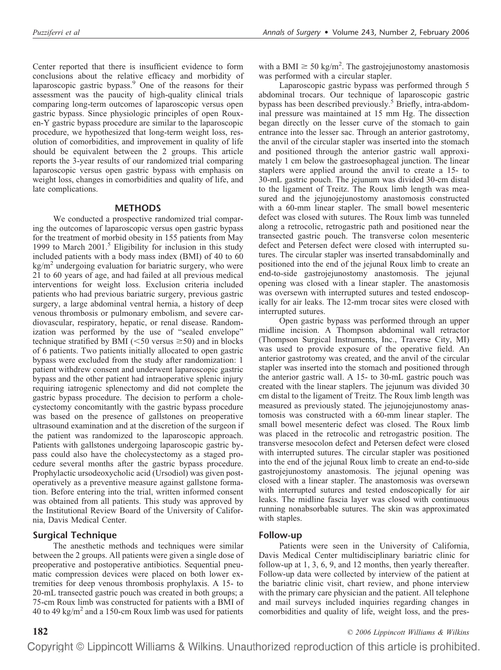Center reported that there is insufficient evidence to form conclusions about the relative efficacy and morbidity of laparoscopic gastric bypass.<sup>9</sup> One of the reasons for their assessment was the paucity of high-quality clinical trials comparing long-term outcomes of laparoscopic versus open gastric bypass. Since physiologic principles of open Rouxen-Y gastric bypass procedure are similar to the laparoscopic procedure, we hypothesized that long-term weight loss, resolution of comorbidities, and improvement in quality of life should be equivalent between the 2 groups. This article reports the 3-year results of our randomized trial comparing laparoscopic versus open gastric bypass with emphasis on weight loss, changes in comorbidities and quality of life, and late complications.

#### **METHODS**

We conducted a prospective randomized trial comparing the outcomes of laparoscopic versus open gastric bypass for the treatment of morbid obesity in 155 patients from May 1999 to March  $2001$ <sup>5</sup> Eligibility for inclusion in this study included patients with a body mass index (BMI) of 40 to 60  $kg/m<sup>2</sup>$  undergoing evaluation for bariatric surgery, who were 21 to 60 years of age, and had failed at all previous medical interventions for weight loss. Exclusion criteria included patients who had previous bariatric surgery, previous gastric surgery, a large abdominal ventral hernia, a history of deep venous thrombosis or pulmonary embolism, and severe cardiovascular, respiratory, hepatic, or renal disease. Randomization was performed by the use of "sealed envelope" technique stratified by BMI ( $\leq$ 50 versus  $\geq$ 50) and in blocks of 6 patients. Two patients initially allocated to open gastric bypass were excluded from the study after randomization: 1 patient withdrew consent and underwent laparoscopic gastric bypass and the other patient had intraoperative splenic injury requiring iatrogenic splenectomy and did not complete the gastric bypass procedure. The decision to perform a cholecystectomy concomitantly with the gastric bypass procedure was based on the presence of gallstones on preoperative ultrasound examination and at the discretion of the surgeon if the patient was randomized to the laparoscopic approach. Patients with gallstones undergoing laparoscopic gastric bypass could also have the cholecystectomy as a staged procedure several months after the gastric bypass procedure. Prophylactic ursodeoxycholic acid (Ursodiol) was given postoperatively as a preventive measure against gallstone formation. Before entering into the trial, written informed consent was obtained from all patients. This study was approved by the Institutional Review Board of the University of California, Davis Medical Center.

## **Surgical Technique**

The anesthetic methods and techniques were similar between the 2 groups. All patients were given a single dose of preoperative and postoperative antibiotics. Sequential pneumatic compression devices were placed on both lower extremities for deep venous thrombosis prophylaxis. A 15- to 20-mL transected gastric pouch was created in both groups; a 75-cm Roux limb was constructed for patients with a BMI of 40 to 49 kg/m<sup>2</sup> and a 150-cm Roux limb was used for patients

with a BMI  $\geq$  50 kg/m<sup>2</sup>. The gastrojejunostomy anastomosis was performed with a circular stapler.

Laparoscopic gastric bypass was performed through 5 abdominal trocars. Our technique of laparoscopic gastric bypass has been described previously.<sup>5</sup> Briefly, intra-abdominal pressure was maintained at 15 mm Hg. The dissection began directly on the lesser curve of the stomach to gain entrance into the lesser sac. Through an anterior gastrotomy, the anvil of the circular stapler was inserted into the stomach and positioned through the anterior gastric wall approximately 1 cm below the gastroesophageal junction. The linear staplers were applied around the anvil to create a 15- to 30-mL gastric pouch. The jejunum was divided 30-cm distal to the ligament of Treitz. The Roux limb length was measured and the jejunojejunostomy anastomosis constructed with a 60-mm linear stapler. The small bowel mesenteric defect was closed with sutures. The Roux limb was tunneled along a retrocolic, retrogastric path and positioned near the transected gastric pouch. The transverse colon mesenteric defect and Petersen defect were closed with interrupted sutures. The circular stapler was inserted transabdominally and positioned into the end of the jejunal Roux limb to create an end-to-side gastrojejunostomy anastomosis. The jejunal opening was closed with a linear stapler. The anastomosis was oversewn with interrupted sutures and tested endoscopically for air leaks. The 12-mm trocar sites were closed with interrupted sutures.

Open gastric bypass was performed through an upper midline incision. A Thompson abdominal wall retractor (Thompson Surgical Instruments, Inc., Traverse City, MI) was used to provide exposure of the operative field. An anterior gastrotomy was created, and the anvil of the circular stapler was inserted into the stomach and positioned through the anterior gastric wall. A 15- to 30-mL gastric pouch was created with the linear staplers. The jejunum was divided 30 cm distal to the ligament of Treitz. The Roux limb length was measured as previously stated. The jejunojejunostomy anastomosis was constructed with a 60-mm linear stapler. The small bowel mesenteric defect was closed. The Roux limb was placed in the retrocolic and retrogastric position. The transverse mesocolon defect and Petersen defect were closed with interrupted sutures. The circular stapler was positioned into the end of the jejunal Roux limb to create an end-to-side gastrojejunostomy anastomosis. The jejunal opening was closed with a linear stapler. The anastomosis was oversewn with interrupted sutures and tested endoscopically for air leaks. The midline fascia layer was closed with continuous running nonabsorbable sutures. The skin was approximated with staples.

### **Follow-up**

Patients were seen in the University of California, Davis Medical Center multidisciplinary bariatric clinic for follow-up at 1, 3, 6, 9, and 12 months, then yearly thereafter. Follow-up data were collected by interview of the patient at the bariatric clinic visit, chart review, and phone interview with the primary care physician and the patient. All telephone and mail surveys included inquiries regarding changes in comorbidities and quality of life, weight loss, and the pres-

**182** *© 2006 Lippincott Williams & Wilkins*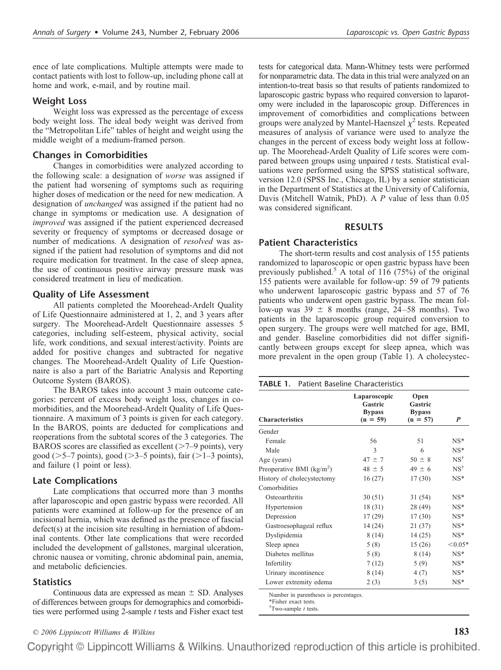ence of late complications. Multiple attempts were made to contact patients with lost to follow-up, including phone call at home and work, e-mail, and by routine mail.

### **Weight Loss**

Weight loss was expressed as the percentage of excess body weight loss. The ideal body weight was derived from the "Metropolitan Life" tables of height and weight using the middle weight of a medium-framed person.

## **Changes in Comorbidities**

Changes in comorbidities were analyzed according to the following scale: a designation of *worse* was assigned if the patient had worsening of symptoms such as requiring higher doses of medication or the need for new medication. A designation of *unchanged* was assigned if the patient had no change in symptoms or medication use. A designation of *improved* was assigned if the patient experienced decreased severity or frequency of symptoms or decreased dosage or number of medications. A designation of *resolved* was assigned if the patient had resolution of symptoms and did not require medication for treatment. In the case of sleep apnea, the use of continuous positive airway pressure mask was considered treatment in lieu of medication.

### **Quality of Life Assessment**

All patients completed the Moorehead-Ardelt Quality of Life Questionnaire administered at 1, 2, and 3 years after surgery. The Moorehead-Ardelt Questionnaire assesses 5 categories, including self-esteem, physical activity, social life, work conditions, and sexual interest/activity. Points are added for positive changes and subtracted for negative changes. The Moorehead-Ardelt Quality of Life Questionnaire is also a part of the Bariatric Analysis and Reporting Outcome System (BAROS).

The BAROS takes into account 3 main outcome categories: percent of excess body weight loss, changes in comorbidities, and the Moorehead-Ardelt Quality of Life Questionnaire. A maximum of 3 points is given for each category. In the BAROS, points are deducted for complications and reoperations from the subtotal scores of the 3 categories. The BAROS scores are classified as excellent  $(>=7-9 \text{ points})$ , very good ( $>5-7$  points), good ( $>3-5$  points), fair ( $>1-3$  points), and failure (1 point or less).

## **Late Complications**

Late complications that occurred more than 3 months after laparoscopic and open gastric bypass were recorded. All patients were examined at follow-up for the presence of an incisional hernia, which was defined as the presence of fascial defect(s) at the incision site resulting in herniation of abdominal contents. Other late complications that were recorded included the development of gallstones, marginal ulceration, chronic nausea or vomiting, chronic abdominal pain, anemia, and metabolic deficiencies.

### **Statistics**

Continuous data are expressed as mean  $\pm$  SD. Analyses of differences between groups for demographics and comorbidities were performed using 2-sample *t* tests and Fisher exact test tests for categorical data. Mann-Whitney tests were performed for nonparametric data. The data in this trial were analyzed on an intention-to-treat basis so that results of patients randomized to laparoscopic gastric bypass who required conversion to laparotomy were included in the laparoscopic group. Differences in improvement of comorbidities and complications between groups were analyzed by Mantel-Haenszel  $\chi^2$  tests. Repeated measures of analysis of variance were used to analyze the changes in the percent of excess body weight loss at followup. The Moorehead-Ardelt Quality of Life scores were compared between groups using unpaired *t* tests. Statistical evaluations were performed using the SPSS statistical software, version 12.0 (SPSS Inc., Chicago, IL) by a senior statistician in the Department of Statistics at the University of California, Davis (Mitchell Watnik, PhD). A *P* value of less than 0.05 was considered significant.

### **RESULTS**

### **Patient Characteristics**

The short-term results and cost analysis of 155 patients randomized to laparoscopic or open gastric bypass have been previously published.<sup>5</sup> A total of 116 (75%) of the original 155 patients were available for follow-up: 59 of 79 patients who underwent laparoscopic gastric bypass and 57 of 76 patients who underwent open gastric bypass. The mean follow-up was  $39 \pm 8$  months (range, 24–58 months). Two patients in the laparoscopic group required conversion to open surgery. The groups were well matched for age, BMI, and gender. Baseline comorbidities did not differ significantly between groups except for sleep apnea, which was more prevalent in the open group (Table 1). A cholecystec-

| <b>Characteristics</b>               | Laparoscopic<br>Gastric<br><b>Bypass</b><br>$(n = 59)$ | Open<br>Gastric<br><b>Bypass</b><br>$(n = 57)$ | P              |
|--------------------------------------|--------------------------------------------------------|------------------------------------------------|----------------|
| Gender                               |                                                        |                                                |                |
| Female                               | 56                                                     | 51                                             | $NS*$          |
| Male                                 | 3                                                      | 6                                              | $NS*$          |
| Age (years)                          | $47 \pm 7$                                             | $50 \pm 8$                                     | $NS^{\dagger}$ |
| Preoperative BMI ( $\text{kg/m}^2$ ) | $48 \pm 5$                                             | $49 \pm 6$                                     | $NS^{\dagger}$ |
| History of cholecystectomy           | 16(27)                                                 | 17(30)                                         | $NS*$          |
| Comorbidities                        |                                                        |                                                |                |
| Osteoarthritis                       | 30(51)                                                 | 31(54)                                         | $NS*$          |
| Hypertension                         | 18(31)                                                 | 28 (49)                                        | $NS*$          |
| Depression                           | 17(29)                                                 | 17(30)                                         | $NS^*$         |
| Gastroesophageal reflux              | 14(24)                                                 | 21(37)                                         | $NS*$          |
| Dyslipidemia                         | 8(14)                                                  | 14(25)                                         | $NS^*$         |
| Sleep apnea                          | 5(8)                                                   | 15(26)                                         | $< 0.05*$      |
| Diabetes mellitus                    | 5(8)                                                   | 8(14)                                          | $NS*$          |
| Infertility                          | 7(12)                                                  | 5(9)                                           | $NS*$          |
| Urinary incontinence                 | 8(14)                                                  | 4(7)                                           | $NS*$          |
| Lower extremity edema                | 2(3)                                                   | 3(5)                                           | $NS*$          |

\*Fisher exact tests.

† Two-sample *t* tests.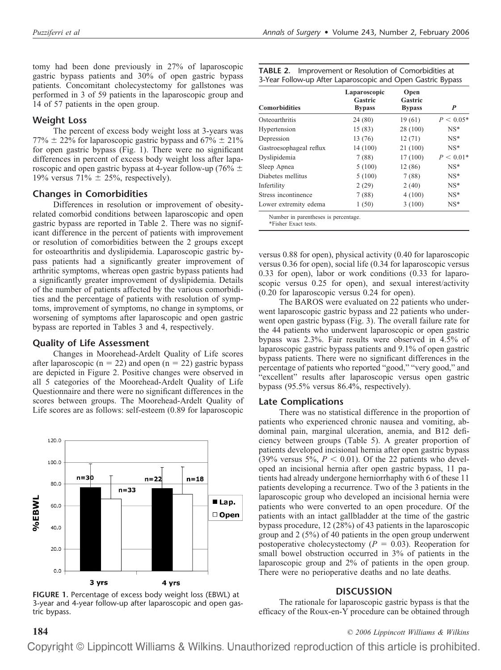tomy had been done previously in 27% of laparoscopic gastric bypass patients and 30% of open gastric bypass patients. Concomitant cholecystectomy for gallstones was performed in 3 of 59 patients in the laparoscopic group and 14 of 57 patients in the open group.

# **Weight Loss**

The percent of excess body weight loss at 3-years was  $77\% \pm 22\%$  for laparoscopic gastric bypass and  $67\% \pm 21\%$ for open gastric bypass (Fig. 1). There were no significant differences in percent of excess body weight loss after laparoscopic and open gastric bypass at 4-year follow-up (76%  $\pm$ 19% versus  $71\% \pm 25\%$ , respectively).

## **Changes in Comorbidities**

Differences in resolution or improvement of obesityrelated comorbid conditions between laparoscopic and open gastric bypass are reported in Table 2. There was no significant difference in the percent of patients with improvement or resolution of comorbidities between the 2 groups except for osteoarthritis and dyslipidemia. Laparoscopic gastric bypass patients had a significantly greater improvement of arthritic symptoms, whereas open gastric bypass patients had a significantly greater improvement of dyslipidemia. Details of the number of patients affected by the various comorbidities and the percentage of patients with resolution of symptoms, improvement of symptoms, no change in symptoms, or worsening of symptoms after laparoscopic and open gastric bypass are reported in Tables 3 and 4, respectively.

## **Quality of Life Assessment**

Changes in Moorehead-Ardelt Quality of Life scores after laparoscopic ( $n = 22$ ) and open ( $n = 22$ ) gastric bypass are depicted in Figure 2. Positive changes were observed in all 5 categories of the Moorehead-Ardelt Quality of Life Questionnaire and there were no significant differences in the scores between groups. The Moorehead-Ardelt Quality of Life scores are as follows: self-esteem (0.89 for laparoscopic



**FIGURE 1.** Percentage of excess body weight loss (EBWL) at 3-year and 4-year follow-up after laparoscopic and open gastric bypass.

| TABLE 2. Improvement or Resolution of Comorbidities at      |  |  |  |  |
|-------------------------------------------------------------|--|--|--|--|
| 3-Year Follow-up After Laparoscopic and Open Gastric Bypass |  |  |  |  |

| <b>Comorbidities</b>                 | Laparoscopic<br>Gastric<br><b>Bypass</b> | Open<br>Gastric<br><b>Bypass</b> | P           |
|--------------------------------------|------------------------------------------|----------------------------------|-------------|
| Osteoarthritis                       | 24(80)                                   | 19(61)                           | $P < 0.05*$ |
| Hypertension                         | 15(83)                                   | 28 (100)                         | $NS*$       |
| Depression                           | 13 (76)                                  | 12(71)                           | $NS*$       |
| Gastroesophageal reflux              | 14 (100)                                 | 21 (100)                         | $NS*$       |
| Dyslipidemia                         | 7(88)                                    | 17(100)                          | $P < 0.01*$ |
| Sleep Apnea                          | 5(100)                                   | 12(86)                           | $NS*$       |
| Diabetes mellitus                    | 5(100)                                   | 7(88)                            | $NS*$       |
| Infertility                          | 2(29)                                    | 2(40)                            | $NS*$       |
| Stress incontinence                  | 7(88)                                    | 4(100)                           | $NS*$       |
| Lower extremity edema                | 1(50)                                    | 3(100)                           | $NS^*$      |
| Number in parentheses is percentage. |                                          |                                  |             |

\*Fisher Exact tests.

versus 0.88 for open), physical activity (0.40 for laparoscopic versus 0.36 for open), social life (0.34 for laparoscopic versus 0.33 for open), labor or work conditions (0.33 for laparoscopic versus 0.25 for open), and sexual interest/activity (0.20 for laparoscopic versus 0.24 for open).

The BAROS were evaluated on 22 patients who underwent laparoscopic gastric bypass and 22 patients who underwent open gastric bypass (Fig. 3). The overall failure rate for the 44 patients who underwent laparoscopic or open gastric bypass was 2.3%. Fair results were observed in 4.5% of laparoscopic gastric bypass patients and 9.1% of open gastric bypass patients. There were no significant differences in the percentage of patients who reported "good," "very good," and "excellent" results after laparoscopic versus open gastric bypass (95.5% versus 86.4%, respectively).

## **Late Complications**

There was no statistical difference in the proportion of patients who experienced chronic nausea and vomiting, abdominal pain, marginal ulceration, anemia, and B12 deficiency between groups (Table 5). A greater proportion of patients developed incisional hernia after open gastric bypass  $(39\%$  versus 5%,  $P < 0.01$ ). Of the 22 patients who developed an incisional hernia after open gastric bypass, 11 patients had already undergone herniorrhaphy with 6 of these 11 patients developing a recurrence. Two of the 3 patients in the laparoscopic group who developed an incisional hernia were patients who were converted to an open procedure. Of the patients with an intact gallbladder at the time of the gastric bypass procedure, 12 (28%) of 43 patients in the laparoscopic group and 2 (5%) of 40 patients in the open group underwent postoperative cholecystectomy  $(P = 0.03)$ . Reoperation for small bowel obstruction occurred in 3% of patients in the laparoscopic group and 2% of patients in the open group. There were no perioperative deaths and no late deaths.

## **DISCUSSION**

The rationale for laparoscopic gastric bypass is that the efficacy of the Roux-en-Y procedure can be obtained through

## **184** *© 2006 Lippincott Williams & Wilkins*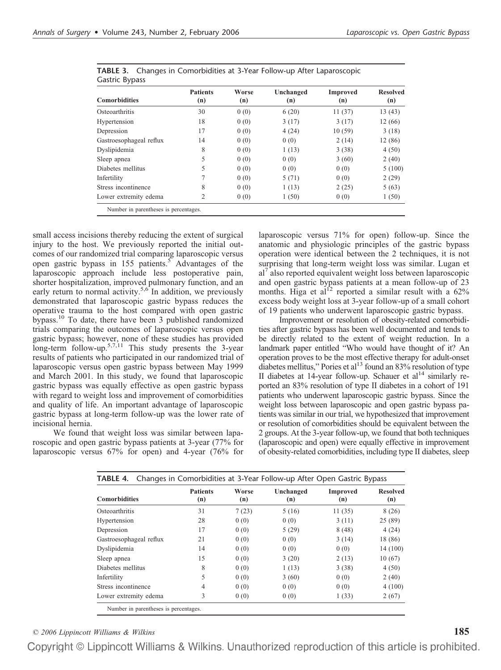| <b>Comorbidities</b>    | <b>Patients</b><br>(n) | Worse<br>(n) | Unchanged<br>(n) | <b>Improved</b><br>(n) | <b>Resolved</b><br>(n) |
|-------------------------|------------------------|--------------|------------------|------------------------|------------------------|
| Osteoarthritis          | 30                     | 0(0)         | 6(20)            | 11(37)                 | 13(43)                 |
| Hypertension            | 18                     | 0(0)         | 3(17)            | 3(17)                  | 12(66)                 |
| Depression              | 17                     | 0(0)         | 4(24)            | 10(59)                 | 3(18)                  |
| Gastroesophageal reflux | 14                     | 0(0)         | 0(0)             | 2(14)                  | 12 (86)                |
| Dyslipidemia            | 8                      | 0(0)         | 1(13)            | 3(38)                  | 4(50)                  |
| Sleep apnea             | 5                      | 0(0)         | 0(0)             | 3(60)                  | 2(40)                  |
| Diabetes mellitus       | 5                      | 0(0)         | 0(0)             | 0(0)                   | 5(100)                 |
| Infertility             |                        | 0(0)         | 5(71)            | 0(0)                   | 2(29)                  |
| Stress incontinence     | 8                      | 0(0)         | 1(13)            | 2(25)                  | 5(63)                  |
| Lower extremity edema   | 2                      | 0(0)         | 1(50)            | 0(0)                   | 1(50)                  |

|                | TABLE 3. Changes in Comorbidities at 3-Year Follow-up After Laparoscopic |
|----------------|--------------------------------------------------------------------------|
| Gastric Bypass |                                                                          |

small access incisions thereby reducing the extent of surgical injury to the host. We previously reported the initial outcomes of our randomized trial comparing laparoscopic versus open gastric bypass in 155 patients.<sup>5</sup> Advantages of the laparoscopic approach include less postoperative pain, shorter hospitalization, improved pulmonary function, and an early return to normal activity.<sup>5,6</sup> In addition, we previously demonstrated that laparoscopic gastric bypass reduces the operative trauma to the host compared with open gastric bypass.10 To date, there have been 3 published randomized trials comparing the outcomes of laparoscopic versus open gastric bypass; however, none of these studies has provided long-term follow-up.<sup>5,7,11</sup> This study presents the 3-year results of patients who participated in our randomized trial of laparoscopic versus open gastric bypass between May 1999 and March 2001. In this study, we found that laparoscopic gastric bypass was equally effective as open gastric bypass with regard to weight loss and improvement of comorbidities and quality of life. An important advantage of laparoscopic gastric bypass at long-term follow-up was the lower rate of incisional hernia.

We found that weight loss was similar between laparoscopic and open gastric bypass patients at 3-year (77% for laparoscopic versus 67% for open) and 4-year (76% for laparoscopic versus 71% for open) follow-up. Since the anatomic and physiologic principles of the gastric bypass operation were identical between the 2 techniques, it is not surprising that long-term weight loss was similar. Lugan et al<sup>7</sup> also reported equivalent weight loss between laparoscopic and open gastric bypass patients at a mean follow-up of 23 months. Higa et al<sup>12</sup> reported a similar result with a  $62\%$ excess body weight loss at 3-year follow-up of a small cohort of 19 patients who underwent laparoscopic gastric bypass.

Improvement or resolution of obesity-related comorbidities after gastric bypass has been well documented and tends to be directly related to the extent of weight reduction. In a landmark paper entitled "Who would have thought of it? An operation proves to be the most effective therapy for adult-onset diabetes mellitus," Pories et al<sup>13</sup> found an 83% resolution of type II diabetes at 14-year follow-up. Schauer et  $al<sup>14</sup>$  similarly reported an 83% resolution of type II diabetes in a cohort of 191 patients who underwent laparoscopic gastric bypass. Since the weight loss between laparoscopic and open gastric bypass patients was similar in our trial, we hypothesized that improvement or resolution of comorbidities should be equivalent between the 2 groups. At the 3-year follow-up, we found that both techniques (laparoscopic and open) were equally effective in improvement of obesity-related comorbidities, including type II diabetes, sleep

|                         | <b>Patients</b> | Worse | Unchanged | Improved | <b>Resolved</b> |
|-------------------------|-----------------|-------|-----------|----------|-----------------|
| <b>Comorbidities</b>    | (n)             | (n)   | (n)       | (n)      | (n)             |
| Osteoarthritis          | 31              | 7(23) | 5(16)     | 11(35)   | 8(26)           |
| Hypertension            | 28              | 0(0)  | 0(0)      | 3(11)    | 25(89)          |
| Depression              | 17              | 0(0)  | 5(29)     | 8(48)    | 4(24)           |
| Gastroesophageal reflux | 21              | 0(0)  | 0(0)      | 3(14)    | 18 (86)         |
| Dyslipidemia            | 14              | 0(0)  | 0(0)      | 0(0)     | 14 (100)        |
| Sleep apnea             | 15              | 0(0)  | 3(20)     | 2(13)    | 10(67)          |
| Diabetes mellitus       | 8               | 0(0)  | 1(13)     | 3(38)    | 4(50)           |
| Infertility             | 5               | 0(0)  | 3(60)     | 0(0)     | 2(40)           |
| Stress incontinence     | 4               | 0(0)  | 0(0)      | 0(0)     | 4(100)          |
| Lower extremity edema   | 3               | 0(0)  | 0(0)      | 1(33)    | 2(67)           |

Number in parentheses is percentages.

*© 2006 Lippincott Williams & Wilkins* **185**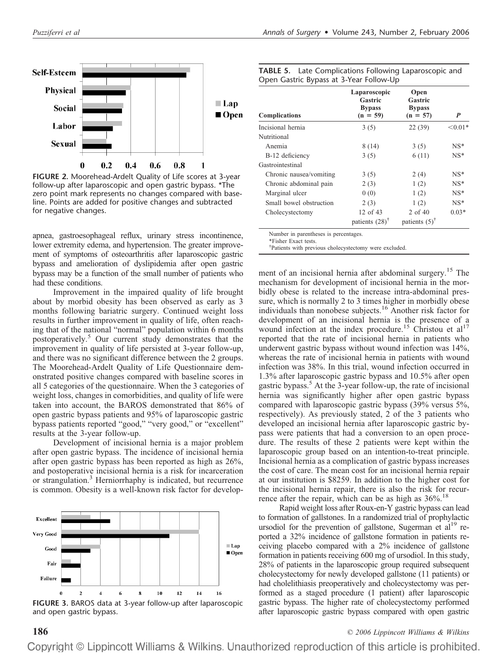

**FIGURE 2.** Moorehead-Ardelt Quality of Life scores at 3-year follow-up after laparoscopic and open gastric bypass. \*The zero point mark represents no changes compared with baseline. Points are added for positive changes and subtracted for negative changes.

apnea, gastroesophageal reflux, urinary stress incontinence, lower extremity edema, and hypertension. The greater improvement of symptoms of osteoarthritis after laparoscopic gastric bypass and amelioration of dyslipidemia after open gastric bypass may be a function of the small number of patients who had these conditions.

Improvement in the impaired quality of life brought about by morbid obesity has been observed as early as 3 months following bariatric surgery. Continued weight loss results in further improvement in quality of life, often reaching that of the national "normal" population within 6 months postoperatively.5 Our current study demonstrates that the improvement in quality of life persisted at 3-year follow-up, and there was no significant difference between the 2 groups. The Moorehead-Ardelt Quality of Life Questionnaire demonstrated positive changes compared with baseline scores in all 5 categories of the questionnaire. When the 3 categories of weight loss, changes in comorbidities, and quality of life were taken into account, the BAROS demonstrated that 86% of open gastric bypass patients and 95% of laparoscopic gastric bypass patients reported "good," "very good," or "excellent" results at the 3-year follow-up.

Development of incisional hernia is a major problem after open gastric bypass. The incidence of incisional hernia after open gastric bypass has been reported as high as 26%, and postoperative incisional hernia is a risk for incarceration or strangulation.<sup>3</sup> Herniorrhaphy is indicated, but recurrence is common. Obesity is a well-known risk factor for develop-



and open gastric bypass.

| <b>TABLE 5.</b> Late Complications Following Laparoscopic and |  |
|---------------------------------------------------------------|--|
| Open Gastric Bypass at 3-Year Follow-Up                       |  |

| <b>Complications</b>    | Laparoscopic<br>Gastric<br><b>Bypass</b><br>$(n = 59)$ | Open<br>Gastric<br><b>Bypass</b><br>$(n = 57)$ | P         |
|-------------------------|--------------------------------------------------------|------------------------------------------------|-----------|
| Incisional hernia       | 3(5)                                                   | 22(39)                                         | $< 0.01*$ |
| Nutritional             |                                                        |                                                |           |
| Anemia                  | 8(14)                                                  | 3(5)                                           | $NS*$     |
| B-12 deficiency         | 3(5)                                                   | 6(11)                                          | $NS*$     |
| Gastrointestinal        |                                                        |                                                |           |
| Chronic nausea/vomiting | 3(5)                                                   | 2(4)                                           | $NS^*$    |
| Chronic abdominal pain  | 2(3)                                                   | 1(2)                                           | $NS*$     |
| Marginal ulcer          | 0(0)                                                   | 1(2)                                           | $NS^*$    |
| Small bowel obstruction | 2(3)                                                   | 1(2)                                           | $NS^*$    |
| Cholecystectomy         | 12 of $43$                                             | 2 of 40                                        | $0.03*$   |
|                         | patients $(28)$ <sup>†</sup>                           | patients $(5)^{\dagger}$                       |           |

Number in parentheses is percentages.

\*Fisher Exact tests.

† Patients with previous cholecystectomy were excluded.

ment of an incisional hernia after abdominal surgery.<sup>15</sup> The mechanism for development of incisional hernia in the morbidly obese is related to the increase intra-abdominal pressure, which is normally 2 to 3 times higher in morbidly obese individuals than nonobese subjects.16 Another risk factor for development of an incisional hernia is the presence of a wound infection at the index procedure.<sup>15</sup> Christou et  $al<sup>17</sup>$ reported that the rate of incisional hernia in patients who underwent gastric bypass without wound infection was 14%, whereas the rate of incisional hernia in patients with wound infection was 38%. In this trial, wound infection occurred in 1.3% after laparoscopic gastric bypass and 10.5% after open gastric bypass.<sup>5</sup> At the 3-year follow-up, the rate of incisional hernia was significantly higher after open gastric bypass compared with laparoscopic gastric bypass (39% versus 5%, respectively). As previously stated, 2 of the 3 patients who developed an incisional hernia after laparoscopic gastric bypass were patients that had a conversion to an open procedure. The results of these 2 patients were kept within the laparoscopic group based on an intention-to-treat principle. Incisional hernia as a complication of gastric bypass increases the cost of care. The mean cost for an incisional hernia repair at our institution is \$8259. In addition to the higher cost for the incisional hernia repair, there is also the risk for recurrence after the repair, which can be as high as  $36\%$ .<sup>18</sup>

Rapid weight loss after Roux-en-Y gastric bypass can lead to formation of gallstones. In a randomized trial of prophylactic ursodiol for the prevention of gallstone, Sugerman et al<sup>19</sup> reported a 32% incidence of gallstone formation in patients receiving placebo compared with a 2% incidence of gallstone formation in patients receiving 600 mg of ursodiol. In this study, 28% of patients in the laparoscopic group required subsequent cholecystectomy for newly developed gallstone (11 patients) or had cholelithiasis preoperatively and cholecystectomy was performed as a staged procedure (1 patient) after laparoscopic gastric bypass. The higher rate of cholecystectomy performed after laparoscopic gastric bypass compared with open gastric

**186** *© 2006 Lippincott Williams & Wilkins*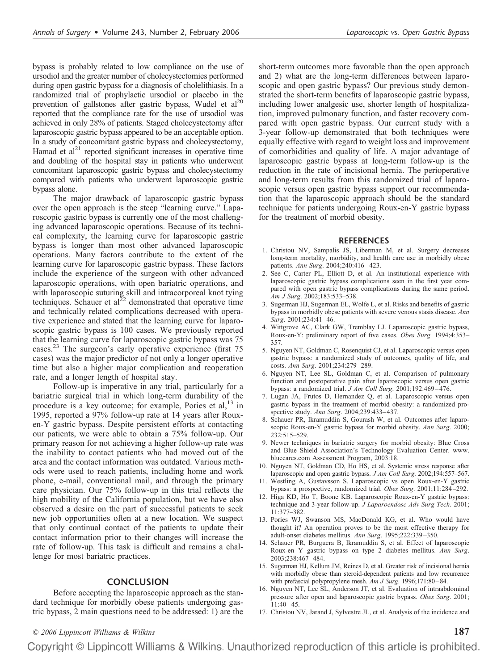bypass is probably related to low compliance on the use of ursodiol and the greater number of cholecystectomies performed during open gastric bypass for a diagnosis of cholelithiasis. In a randomized trial of prophylactic ursodiol or placebo in the prevention of gallstones after gastric bypass, Wudel et  $al^{20}$ reported that the compliance rate for the use of ursodiol was achieved in only 28% of patients. Staged cholecystectomy after laparoscopic gastric bypass appeared to be an acceptable option. In a study of concomitant gastric bypass and cholecystectomy, Hamad et  $al<sup>21</sup>$  reported significant increases in operative time and doubling of the hospital stay in patients who underwent concomitant laparoscopic gastric bypass and cholecystectomy compared with patients who underwent laparoscopic gastric bypass alone.

The major drawback of laparoscopic gastric bypass over the open approach is the steep "learning curve." Laparoscopic gastric bypass is currently one of the most challenging advanced laparoscopic operations. Because of its technical complexity, the learning curve for laparoscopic gastric bypass is longer than most other advanced laparoscopic operations. Many factors contribute to the extent of the learning curve for laparoscopic gastric bypass. These factors include the experience of the surgeon with other advanced laparoscopic operations, with open bariatric operations, and with laparoscopic suturing skill and intracorporeal knot tying techniques. Schauer et al<sup>22</sup> demonstrated that operative time and technically related complications decreased with operative experience and stated that the learning curve for laparoscopic gastric bypass is 100 cases. We previously reported that the learning curve for laparoscopic gastric bypass was 75 cases.23 The surgeon's early operative experience (first 75 cases) was the major predictor of not only a longer operative time but also a higher major complication and reoperation rate, and a longer length of hospital stay.

Follow-up is imperative in any trial, particularly for a bariatric surgical trial in which long-term durability of the procedure is a key outcome; for example, Pories et al,<sup>13</sup> in 1995, reported a 97% follow-up rate at 14 years after Rouxen-Y gastric bypass. Despite persistent efforts at contacting our patients, we were able to obtain a 75% follow-up. Our primary reason for not achieving a higher follow-up rate was the inability to contact patients who had moved out of the area and the contact information was outdated. Various methods were used to reach patients, including home and work phone, e-mail, conventional mail, and through the primary care physician. Our 75% follow-up in this trial reflects the high mobility of the California population, but we have also observed a desire on the part of successful patients to seek new job opportunities often at a new location. We suspect that only continual contact of the patients to update their contact information prior to their changes will increase the rate of follow-up. This task is difficult and remains a challenge for most bariatric practices.

#### **CONCLUSION**

Before accepting the laparoscopic approach as the standard technique for morbidly obese patients undergoing gastric bypass, 2 main questions need to be addressed: 1) are the short-term outcomes more favorable than the open approach and 2) what are the long-term differences between laparoscopic and open gastric bypass? Our previous study demonstrated the short-term benefits of laparoscopic gastric bypass, including lower analgesic use, shorter length of hospitalization, improved pulmonary function, and faster recovery compared with open gastric bypass. Our current study with a 3-year follow-up demonstrated that both techniques were equally effective with regard to weight loss and improvement of comorbidities and quality of life. A major advantage of laparoscopic gastric bypass at long-term follow-up is the reduction in the rate of incisional hernia. The perioperative and long-term results from this randomized trial of laparoscopic versus open gastric bypass support our recommendation that the laparoscopic approach should be the standard technique for patients undergoing Roux-en-Y gastric bypass for the treatment of morbid obesity.

#### **REFERENCES**

- 1. Christou NV, Sampalis JS, Liberman M, et al. Surgery decreases long-term mortality, morbidity, and health care use in morbidly obese patients. *Ann Surg*. 2004;240:416 – 423.
- 2. See C, Carter PL, Elliott D, et al. An institutional experience with laparoscopic gastric bypass complications seen in the first year compared with open gastric bypass complications during the same period. *Am J Surg*. 2002;183:533–538.
- 3. Sugerman HJ, Sugerman EL, Wolfe L, et al. Risks and benefits of gastric bypass in morbidly obese patients with severe venous stasis disease. *Ann Surg*. 2001;234:41– 46.
- 4. Wittgrove AC, Clark GW, Tremblay LJ. Laparoscopic gastric bypass, Roux-en-Y: preliminary report of five cases. *Obes Surg*. 1994;4:353– 357.
- 5. Nguyen NT, Goldman C, Rosenquist CJ, et al. Laparoscopic versus open gastric bypass: a randomized study of outcomes, quality of life, and costs. *Ann Surg*. 2001;234:279 –289.
- 6. Nguyen NT, Lee SL, Goldman C, et al. Comparison of pulmonary function and postoperative pain after laparoscopic versus open gastric bypass: a randomized trial. *J Am Coll Surg*. 2001;192:469 – 476.
- 7. Lugan JA, Frutos D, Hernandez Q, et al. Laparoscopic versus open gastric bypass in the treatment of morbid obesity: a randomized prospective study. *Ann Surg*. 2004;239:433– 437.
- 8. Schauer PR, Ikramuddin S, Gourash W, et al. Outcomes after laparoscopic Roux-en-Y gastric bypass for morbid obesity. *Ann Surg*. 2000; 232:515–529.
- 9. Newer techniques in bariatric surgery for morbid obesity: Blue Cross and Blue Shield Association's Technology Evaluation Center. www. bluecares.com Assessment Program, 2003:18.
- 10. Nguyen NT, Goldman CD, Ho HS, et al. Systemic stress response after laparoscopic and open gastric bypass. *J Am Coll Surg*. 2002;194:557–567.
- 11. Westling A, Gustavsson S. Laparoscopic vs open Roux-en-Y gastric bypass: a prospective, randomized trial. *Obes Surg*. 2001;11:284 –292.
- 12. Higa KD, Ho T, Boone KB. Laparoscopic Roux-en-Y gastric bypass: technique and 3-year follow-up. *J Laparoendosc Adv Surg Tech*. 2001; 11:377–382.
- 13. Pories WJ, Swanson MS, MacDonald KG, et al. Who would have thought it? An operation proves to be the most effective therapy for adult-onset diabetes mellitus. *Ann Surg*. 1995;222:339 –350.
- 14. Schauer PR, Burguera B, Ikramuddin S, et al. Effect of laparoscopic Roux-en Y gastric bypass on type 2 diabetes mellitus. *Ann Surg*. 2003;238:467– 484.
- 15. Sugerman HJ, Kellum JM, Reines D, et al. Greater risk of incisional hernia with morbidly obese than steroid-dependent patients and low recurrence with prefascial polypropylene mesh.  $Am J Surg.$  1996;171:80-84.
- 16. Nguyen NT, Lee SL, Anderson JT, et al. Evaluation of intraabdominal pressure after open and laparoscopic gastric bypass. *Obes Surg*. 2001;  $11:40 - 45.$
- 17. Christou NV, Jarand J, Sylvestre JL, et al. Analysis of the incidence and

# *© 2006 Lippincott Williams & Wilkins* **187**